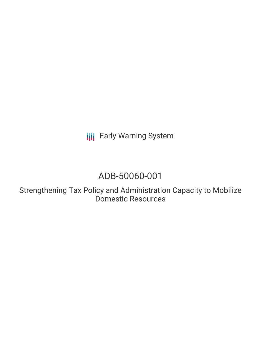**III** Early Warning System

# ADB-50060-001

Strengthening Tax Policy and Administration Capacity to Mobilize Domestic Resources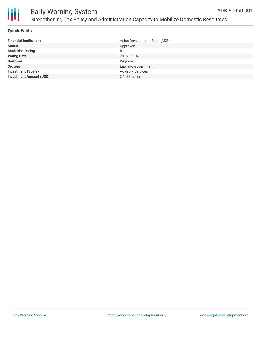



#### **Quick Facts**

| <b>Financial Institutions</b>  | Asian Development Bank (ADB) |
|--------------------------------|------------------------------|
| <b>Status</b>                  | Approved                     |
| <b>Bank Risk Rating</b>        | B                            |
| <b>Voting Date</b>             | 2016-11-16                   |
| <b>Borrower</b>                | Regional                     |
| <b>Sectors</b>                 | Law and Government           |
| <b>Investment Type(s)</b>      | <b>Advisory Services</b>     |
| <b>Investment Amount (USD)</b> | $$1.00$ million              |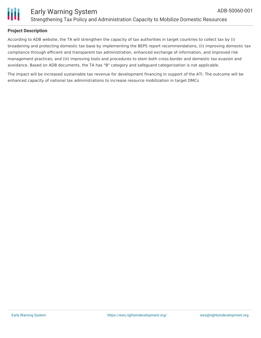

#### **Project Description**

According to ADB website, the TA will strengthen the capacity of tax authorities in target countries to collect tax by (i) broadening and protecting domestic tax base by implementing the BEPS report recommendations, (ii) improving domestic tax compliance through efficient and transparent tax administration, enhanced exchange of information, and improved risk management practices; and (iii) improving tools and procedures to stem both cross-border and domestic tax evasion and avoidance. Based on ADB documents, the TA has "B" category and safeguard categorization is not applicable.

The impact will be increased sustainable tax revenue for development financing in support of the ATI. The outcome will be enhanced capacity of national tax administrations to increase resource mobilization in target DMCs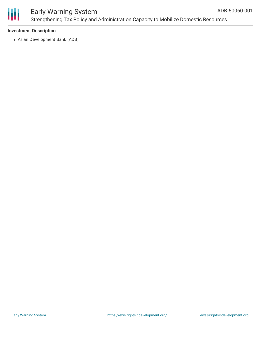

### Early Warning System Strengthening Tax Policy and Administration Capacity to Mobilize Domestic Resources

#### **Investment Description**

Asian Development Bank (ADB)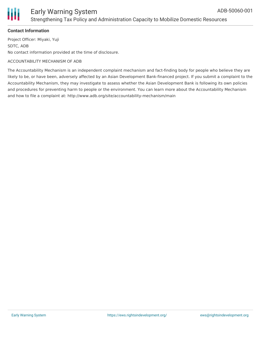



#### **Contact Information**

Project Officer: Miyaki, Yuji SDTC, ADB No contact information provided at the time of disclosure.

#### ACCOUNTABILITY MECHANISM OF ADB

The Accountability Mechanism is an independent complaint mechanism and fact-finding body for people who believe they are likely to be, or have been, adversely affected by an Asian Development Bank-financed project. If you submit a complaint to the Accountability Mechanism, they may investigate to assess whether the Asian Development Bank is following its own policies and procedures for preventing harm to people or the environment. You can learn more about the Accountability Mechanism and how to file a complaint at: http://www.adb.org/site/accountability-mechanism/main